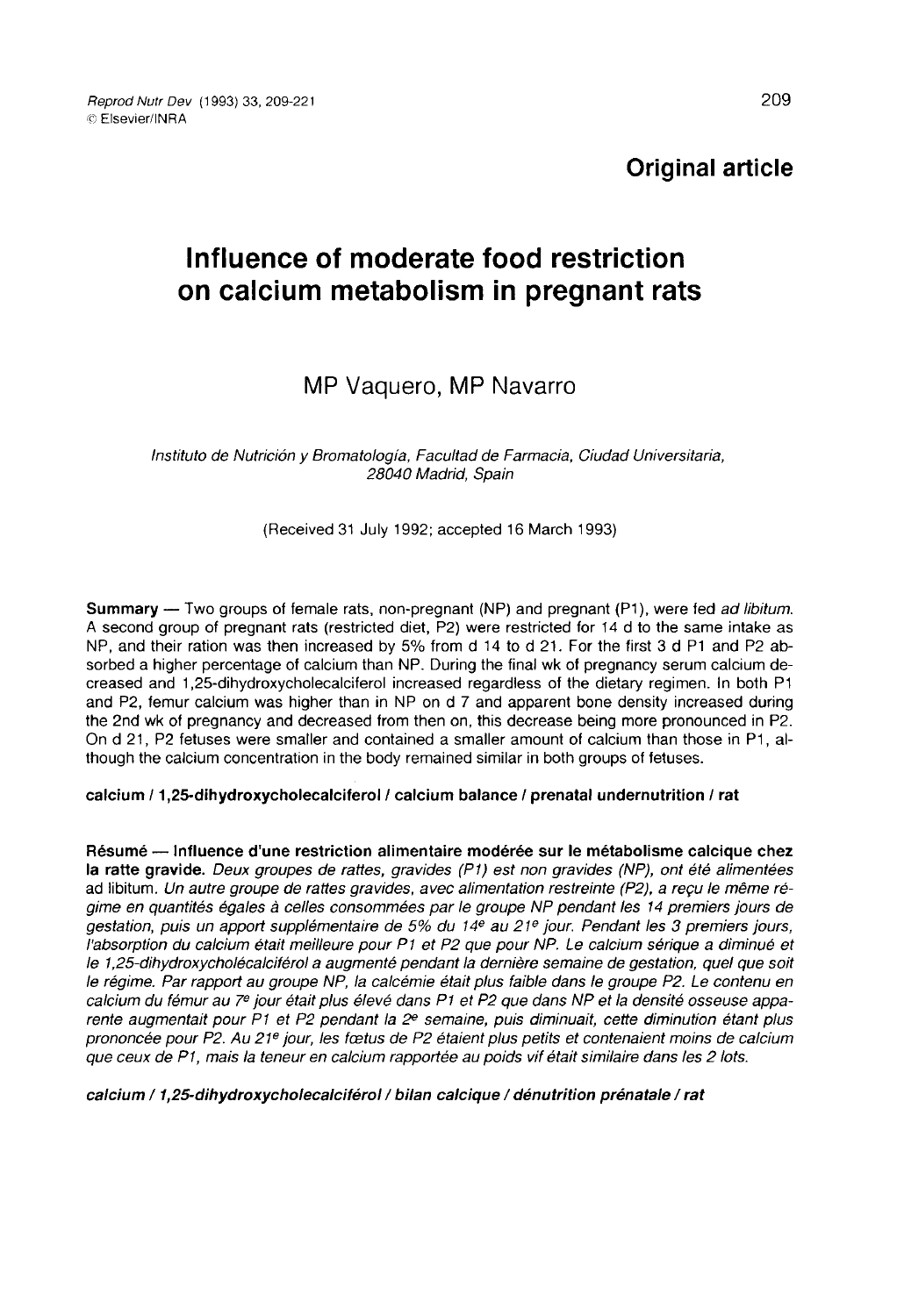Reprod Nutr Dev (1993) 33, 209-221 © Fisevier/INRA

Original article

# Influence of moderate food restriction on calcium metabolism in pregnant rats

# MP Vaquero, MP Navarro

Instituto de Nutriciôn y Bromatologia, Facultad de Farmacia, Ciudad Universitaria, 28040 Madrid, Spain

(Received 31 July 1992; accepted 16 March 1993)

**Summary** — Two groups of female rats, non-pregnant (NP) and pregnant  $(P1)$ , were fed ad libitum. A second group of pregnant rats (restricted diet, P2) were restricted for 14 d to the same intake as NP, and their ration was then increased by 5% from d 14 to d 21. For the first 3 d P1 and P2 absorbed a higher percentage of calcium than NP. During the final wk of pregnancy serum calcium decreased and 1,25-dihydroxycholecalciferol increased regardless of the dietary regimen. In both P1 and P2, femur calcium was higher than in NP on d 7 and apparent bone density increased during the 2nd wk of pregnancy and decreased from then on, this decrease being more pronounced in P2. On d 21, P2 fetuses were smaller and contained a smaller amount of calcium than those in P1, although the calcium concentration in the body remained similar in both groups of fetuses.

### calcium / 1,25-dihydroxycholecalciferol / calcium balance / prenatal undernutrition / rat

Résumé ― Influence d'une restriction alimentaire modérée sur le métabolisme calcique chez la ratte gravide. Deux groupes de rattes, gravides (P1) est non gravides (NP), ont été alimentées ad libitum. Un autre groupe de rattes gravides, avec alimentation restreinte (P2), a reçu le même régime en quantités égales à celles consommées par le groupe NP pendant les 14 premiers jours de gestation, puis un apport supplémentaire de 5% du 14<sup>e</sup> au 21<sup>e</sup> jour. Pendant les 3 premiers jours, l'absorption du calcium était meilleure pour PI et P2 que pour NP. Le calcium sérique a diminué et le 1,25-dihydroxycholécalciférol a augmenté pendant la dernière semaine de gestation, quel que soit le régime. Par rapport au groupe NP, la calcémie était plus faible dans le groupe P2. Le contenu en le 1,25-dihydroxycholécalciférol a augmenté pendant la dernière semaine de gestation, quel que soit<br>le régime. Par rapport au groupe NP, la calcémie était plus faible dans le groupe P2. Le contenu en<br>calcium du fémur au 7º calcium du fémur au 7<sup>e</sup> jour était plus élevé dans P1 et P2 que dans NP et la densité osseuse appa-<br>rente augmentait pour P1 et P2 pendant la 2<sup>e</sup> semaine, puis diminuait, cette diminution étant plus prononcée pour P2. Au 21<sup>e</sup> jour, les fœtus de P2 étaient plus petits et contenaient moins de calcium que ceux de P1, mais la teneur en calcium rapportée au poids vif était similaire dans les 2 lots.

calcium / 1,25-dihydroxycholecalciférol / bilan calcique / dénutrition prénatale / rat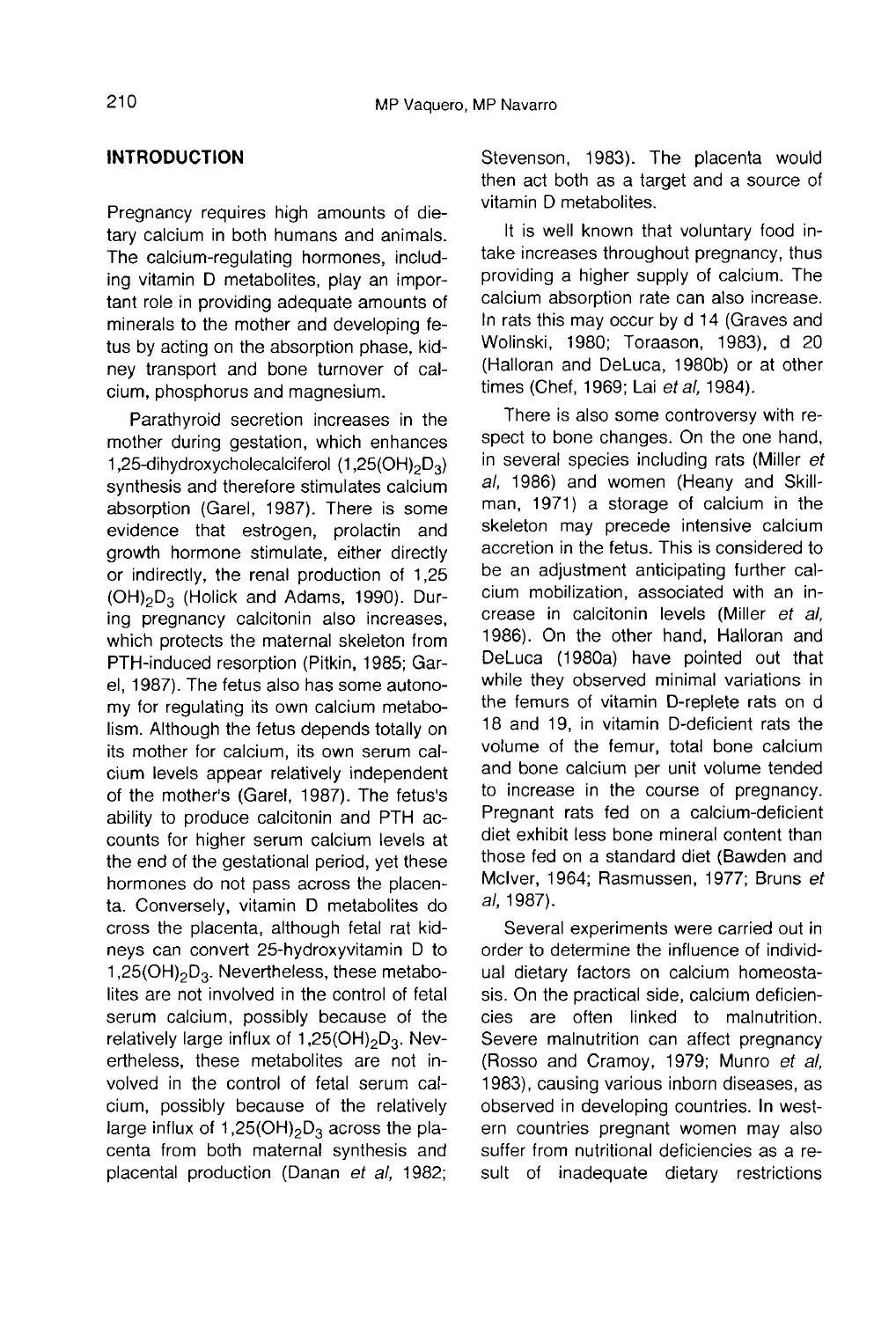# INTRODUCTION

Pregnancy requires high amounts of dietary calcium in both humans and animals. The calcium-regulating hormones, including vitamin D metabolites, play an important role in providing adequate amounts of minerals to the mother and developing feney transport and bone turnover of calcium, phosphorus and magnesium.

tus by acting on the absorption phase, kid-<br>ney transport and bone turnover of cal-<br>cium, phosphorus and magnesium.<br>Parathyroid secretion increases in the<br>mother during gestation, which enhances<br>1,25-dihydroxycholecalcife Parathyroid secretion increases in the mother during gestation, which enhances synthesis and therefore stimulates calcium 1,25-dihydroxycholecalciferol  $(1,25(OH)_{2}D_{3})$ absorption (Garel, 1987). There is some evidence that estrogen, prolactin and growth hormone stimulate, either directly or indirectly, the renal production of 1,25 evidence that estrogen, prolactin and<br>growth hormone stimulate, either directly<br>or indirectly, the renal production of 1,25<br>(OH)<sub>2</sub>D<sub>3</sub> (Holick and Adams, 1990). Dur-<br>ing pregnancy calcitonin also increases, ing pregnancy calcitonin also increases, which protects the maternal skeleton from PTH-induced resorption (Pitkin, 1985; Garel, 1987). The fetus also has some autonomy for regulating its own calcium metabolism. Although the fetus depends totally on its mother for calcium, its own serum calcium levels appear relatively independent of the mother's (Garel, 1987). The fetus's ability to produce calcitonin and PTH accounts for higher serum calcium levels at the end of the gestational period, yet these hormones do not pass across the placenta. Conversely, vitamin D metabolites do cross the placenta, although fetal rat kidneys can convert 25-hydroxyvitamin D to between of the gestational period, yet these<br>the end of the gestational period, yet these<br>hormones do not pass across the placen-<br>ta. Conversely, vitamin D metabolites do<br>cross the placenta, although fetal rat kid-<br>neys c lites are not involved in the control of fetal serum calcium, possibly because of the relatively large influx of 1,25(OH)<sub>2</sub>D<sub>3</sub>. Nevcross the placenta, although fetal rat kid-<br>neys can convert 25-hydroxyvitamin D to<br>1,25(OH)<sub>2</sub>D<sub>3</sub>. Nevertheless, these metabo-<br>lites are not involved in the control of fetal<br>singularity large influx of 1,25(OH)<sub>2</sub>D<sub>3</sub>. ertheless, these metabolites are not involved in the control of fetal serum calcium, possibly because of the relatively serum calcium, possibly because of the<br>relatively large influx of 1,25(OH)<sub>2</sub>D<sub>3</sub>. Nev-<br>ertheless, these metabolites are not in-<br>volved in the control of fetal serum cal-<br>cium, possibly because of the relatively<br>large inf centa from both maternal synthesis and placental production (Danan et al. 1982;

Stevenson, 1983). The placenta would then act both as a target and a source of vitamin D metabolites.

It is well known that voluntary food intake increases throughout pregnancy, thus providing a higher supply of calcium. The calcium absorption rate can also increase. In rats this may occur by d 14 (Graves and Wolinski, 1980; Toraason, 1983), d 20 (Halloran and DeLuca, 1980b) or at other times (Chef, 1969; Lai et al, 1984).

There is also some controversy with respect to bone changes. On the one hand, in several species including rats (Miller et al, 1986) and women (Heany and Skillman, 1971) a storage of calcium in the skeleton may precede intensive calcium accretion in the fetus. This is considered to be an adjustment anticipating further calcium mobilization, associated with an increase in calcitonin levels (Miller et al, 1986). On the other hand, Halloran and DeLuca (1980a) have pointed out that while they observed minimal variations in the femurs of vitamin D-replete rats on d 18 and 19, in vitamin D-deficient rats the volume of the femur, total bone calcium and bone calcium per unit volume tended to increase in the course of pregnancy. Pregnant rats fed on a calcium-deficient diet exhibit less bone mineral content than those fed on a standard diet (Bawden and Mciver, 1964; Rasmussen, 1977; Bruns et al, 1987).

Several experiments were carried out in order to determine the influence of individual dietary factors on calcium homeostasis. On the practical side, calcium deficiencies are often linked to malnutrition. Severe malnutrition can affect pregnancy (Rosso and Cramoy, 1979; Munro et al, 1983), causing various inborn diseases, as observed in developing countries. In western countries pregnant women may also suffer from nutritional deficiencies as a result of inadequate dietary restrictions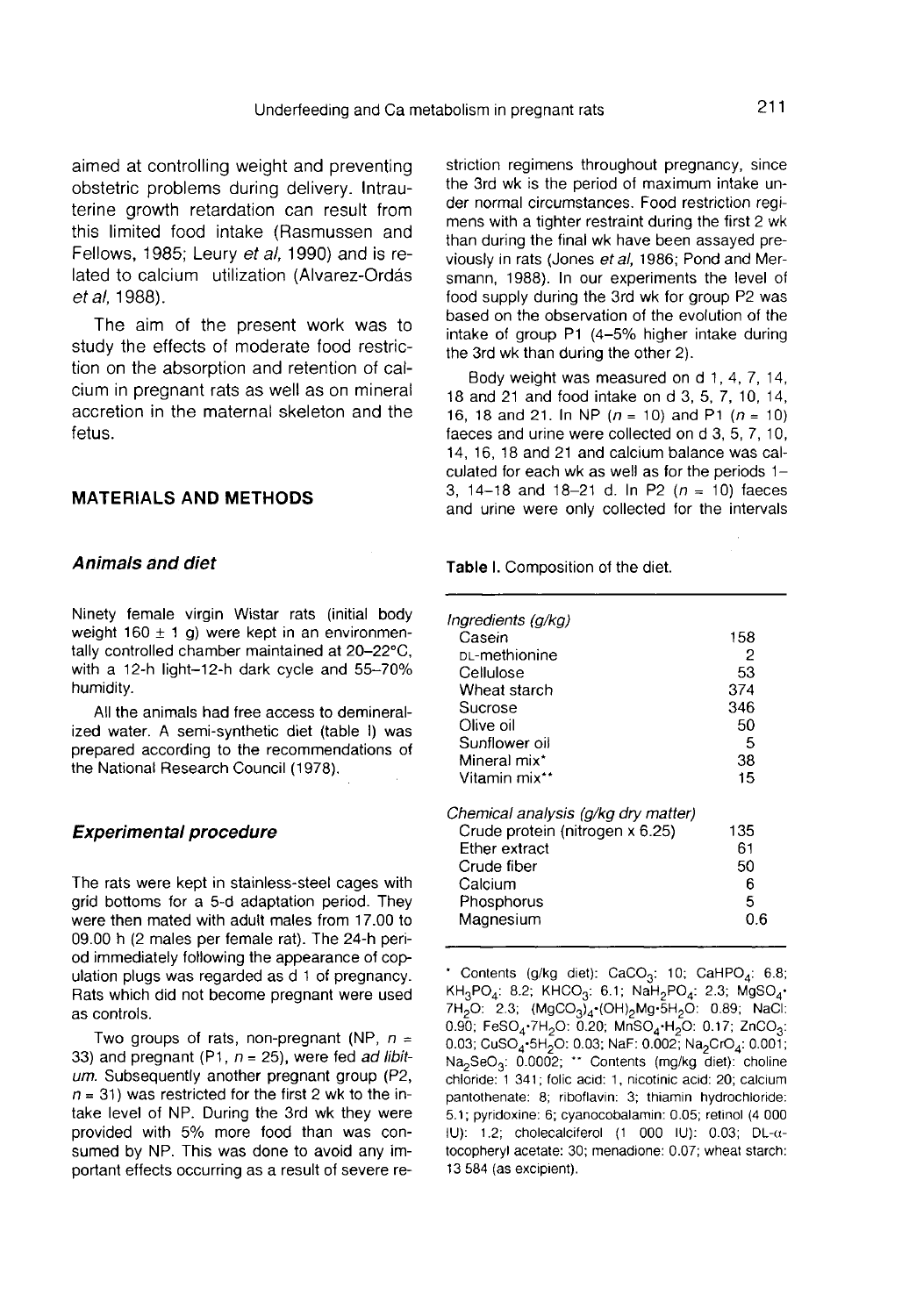aimed at controlling weight and preventing obstetric problems during delivery. Intrauterine growth retardation can result from this limited food intake (Rasmussen and Fellows, 1985; Leury et al, 1990) and is related to calcium utilization (Alvarez-Ordás et al, 1988).

The aim of the present work was to study the effects of moderate food restriction on the absorption and retention of calcium in pregnant rats as well as on mineral accretion in the maternal skeleton and the fetus.

#### MATERIALS AND METHODS

#### Animals and diet

Ninety female virgin Wistar rats (initial body weight  $160 \pm 1$  g) were kept in an environmentally controlled chamber maintained at 20-22°C, with a 12-h light-12-h dark cycle and 55-70% humidity.

All the animals had free access to demineralized water. A semi-synthetic diet (table I) was prepared according to the recommendations of the National Research Council (1978).

#### Experimental procedure

The rats were kept in stainless-steel cages with grid bottoms for a 5-d adaptation period. They were then mated with adult males from 17.00 to 09.00 h (2 males per female rat). The 24-h period immediately following the appearance of copulation plugs was regarded as d 1 of pregnancy. Rats which did not become pregnant were used as controls.

Two groups of rats, non-pregnant (NP,  $n =$ 33) and pregnant (P1,  $n = 25$ ), were fed *ad libit-*  $um$ . Subsequently another pregnant group (P2,  $n = 31$ ) was restricted for the first 2 wk to the intake level of NP. During the 3rd wk they were provided with 5% more food than was consumed by NP. This was done to avoid any important effects occurring as a result of severe restriction regimens throughout pregnancy, since the 3rd wk is the period of maximum intake under normal circumstances. Food restriction regi mens with a tighter restraint during the first 2 wk than during the final wk have been assayed previously in rats (Jones et al, 1986; Pond and Mersmann, 1988). In our experiments the level of food supply during the 3rd wk for group P2 was based on the observation of the evolution of the intake of group P1 (4-5% higher intake during the 3rd wk than during the other 2).

Body weight was measured on d 1, 4, 7, 14, 18 and 21 and food intake on d 3, 5, 7, 10, 14, 16, 18 and 21. In NP ( $n = 10$ ) and P1 ( $n = 10$ ) faeces and urine were collected on d 3, 5, 7, 10, 14, 16, 18 and 21 and calcium balance was calculated for each wk as well as for the periods  $1-$ 3, 14-18 and 18-21 d. In P2 ( $n = 10$ ) faeces and urine were only collected for the intervals

Table I. Composition of the diet.

| Ingredients (g/kg)<br>Casein<br>p∟-methionine<br>Cellulose<br>Wheat starch<br>Sucrose                                                        | 158<br>2<br>53<br>374<br>346     |
|----------------------------------------------------------------------------------------------------------------------------------------------|----------------------------------|
| Olive oil<br>Sunflower oil<br>Mineral mix*<br>Vitamin mix**                                                                                  | 50<br>5<br>38<br>15              |
| Chemical analysis (g/kg dry matter)<br>Crude protein (nitrogen x 6.25)<br>Ether extract<br>Crude fiber<br>Calcium<br>Phosphorus<br>Magnesium | 135<br>61<br>50<br>6<br>5<br>0.6 |

\* Contents (g/kg diet): CaCO<sub>3</sub>: 10; CaHPO<sub>4</sub>: 6.8;  $KH_3PO_4$ : 8.2; KHCO<sub>3</sub>: 6.1; NaH<sub>2</sub>PO<sub>4</sub>: 2.3; MgSO<sub>4</sub>· 7H<sub>2</sub>O: 2.3; (MgCO<sub>3</sub>)<sub>4</sub> (OH)<sub>2</sub>Mg 5H<sub>2</sub>O: 0.89; NaCl: 0.90; FeSO<sub>4</sub>·7H<sub>2</sub>O: 0.20; MnSO<sub>4</sub>·H<sub>2</sub>O: 0.17; ZnCO<sub>3</sub>: 0.03; CuSO<sub>4</sub>.5H<sub>2</sub>O: 0.03; NaF: 0.002; Na<sub>2</sub>CrO<sub>4</sub>: 0.001; Na<sub>2</sub>SeO<sub>3</sub>: 0.0002; \*\* Contents (mg/kg diet): choline chloride: 1 341; folic acid: 1, nicotinic acid: 20; calcium pantothenate: 8; riboflavin: 3; thiamin hydrochloride: 5.1; pyridoxine: 6; cyanocobalamin: 0.05; retinol (4 000 IU): 1.2; cholecalciferol (1 000 IU): 0.03; DL-αtocopheryl acetate: 30; menadione: 0.07; wheat starch: 13 584 (as excipient).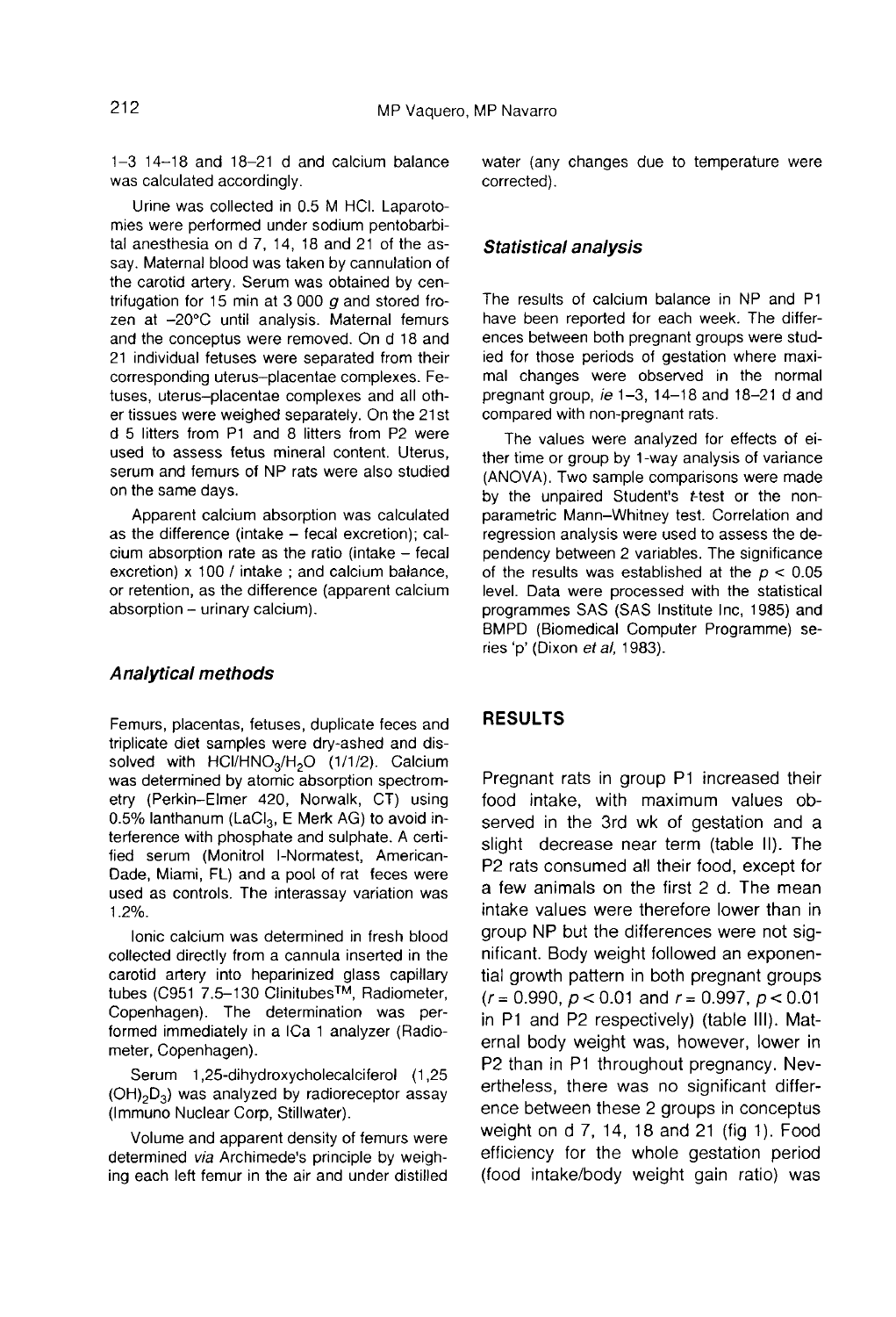$1-3$  14 $-18$  and 18 $-21$  d and calcium balance was calculated accordingly.

Urine was collected in 0.5 M HCI. Laparotomies were performed under sodium pentobarbital anesthesia on d 7, 14, 18 and 21 of the assay. Maternal blood was taken by cannulation of the carotid artery. Serum was obtained by centrifugation for 15 min at 3 000  $g$  and stored frozen at -20°C until analysis. Maternal femurs and the conceptus were removed. On d 18 and 21 individual fetuses were separated from their corresponding uterus-placentae complexes. Fetuses, uterus-placentae complexes and all other tissues were weighed separately. On the 21st d 5 litters from P1 and 8 litters from P2 were used to assess fetus mineral content. Uterus, serum and femurs of NP rats were also studied on the same days.

Apparent calcium absorption was calculated as the difference (intake  $-$  fecal excretion); cal $cium$  absorption rate as the ratio (intake  $-$  fecal excretion) x 100 / intake ; and calcium balance, or retention, as the difference (apparent calcium absorption - urinary calcium).

#### Analytical methods

Femurs, placentas, fetuses, duplicate feces and triplicate diet samples were dry-ashed and dis-<br>solved with  $HCl/HNO<sub>3</sub>/H<sub>2</sub>O$  (1/1/2). Calcium **Analytical methods**<br>Femurs, placentas, fetuses, duplicate feces and<br>triplicate diet samples were dry-ashed and dis-<br>solved with HCI/HNO<sub>3</sub>/H<sub>2</sub>O (1/1/2). Calcium<br>was determined by atomic absorption spectrom-<br>etry (Perkinetry (Perkin-Elmer 420, Norwalk, CT) using<br>0.5% lanthanum (LaCl<sub>3</sub>, E Merk AG) to avoid interference with phosphate and sulphate. A certified serum (Monitrol I-Normatest, American-Dade, Miami, FL) and a pool of rat feces were used as controls. The interassay variation was 1.2%.

Ionic calcium was determined in fresh blood collected directly from a cannula inserted in the carotid artery into heparinized glass capillary<br>tubes (C951 7.5–130 Clinitubes<sup>TM</sup>, Radiometer, used as controls. The interassay variation was<br>1.2%.<br>Ionic calcium was determined in fresh blood<br>collected directly from a cannula inserted in the<br>carotid artery into heparinized glass capillary<br>tubes (C951 7.5–130 Clinitu Copenhagen). The determination was permeter, Copenhagen).

formed immediately in a ICa 1 analyzer (Radio-<br>meter, Copenhagen).<br>Serum 1,25-dihydroxycholecalciferol (1,25<br>(OH)<sub>2</sub>D<sub>3</sub>) was analyzed by radioreceptor assay<br>(Immuno Nuclear Corp, Stillwater). Serum 1,25-dihydroxycholecalciferol (1,25 (OH)<sub>2</sub>D<sub>3</sub>) was analyzed by radioreceptor assay (Immuno Nuclear Corp, Stillwater).

Volume and apparent density of femurs were determined via Archimede's principle by weighing each left femur in the air and under distilled water (any changes due to temperature were corrected).

#### Statistical analysis

The results of calcium balance in NP and P1 have been reported for each week. The differences between both pregnant groups were studied for those periods of gestation where maximal changes were observed in the normal pregnant group, ie 1-3, 14-18 and 18-21 d and compared with non-pregnant rats.

The values were analyzed for effects of either time or group by 1-way analysis of variance (ANOVA). Two sample comparisons were made by the unpaired Student's t-test or the nonparametric Mann-Whitney test. Correlation and regression analysis were used to assess the dependency between 2 variables. The significance of the results was established at the  $p < 0.05$ level. Data were processed with the statistical programmes SAS (SAS Institute Inc, 1985) and BMPD (Biomedical Computer Programme) series 'p' (Dixon et al, 1983).

#### **RESULTS**

Pregnant rats in group P1 increased their food intake, with maximum values observed in the 3rd wk of gestation and a slight decrease near term (table II). The P2 rats consumed all their food, except for a few animals on the first 2 d. The mean intake values were therefore lower than in group NP but the differences were not significant. Body weight followed an exponential growth pattern in both pregnant groups  $(r = 0.990, p < 0.01$  and  $r = 0.997, p < 0.01$ in P1 and P2 respectively) (table 111). Maternal body weight was, however, lower in P2 than in P1 throughout pregnancy. Nevertheless, there was no significant difference between these 2 groups in conceptus weight on  $d$   $7$ ,  $14$ ,  $18$  and  $21$  (fig  $1$ ). Food efficiency for the whole gestation period (food intake/body weight gain ratio) was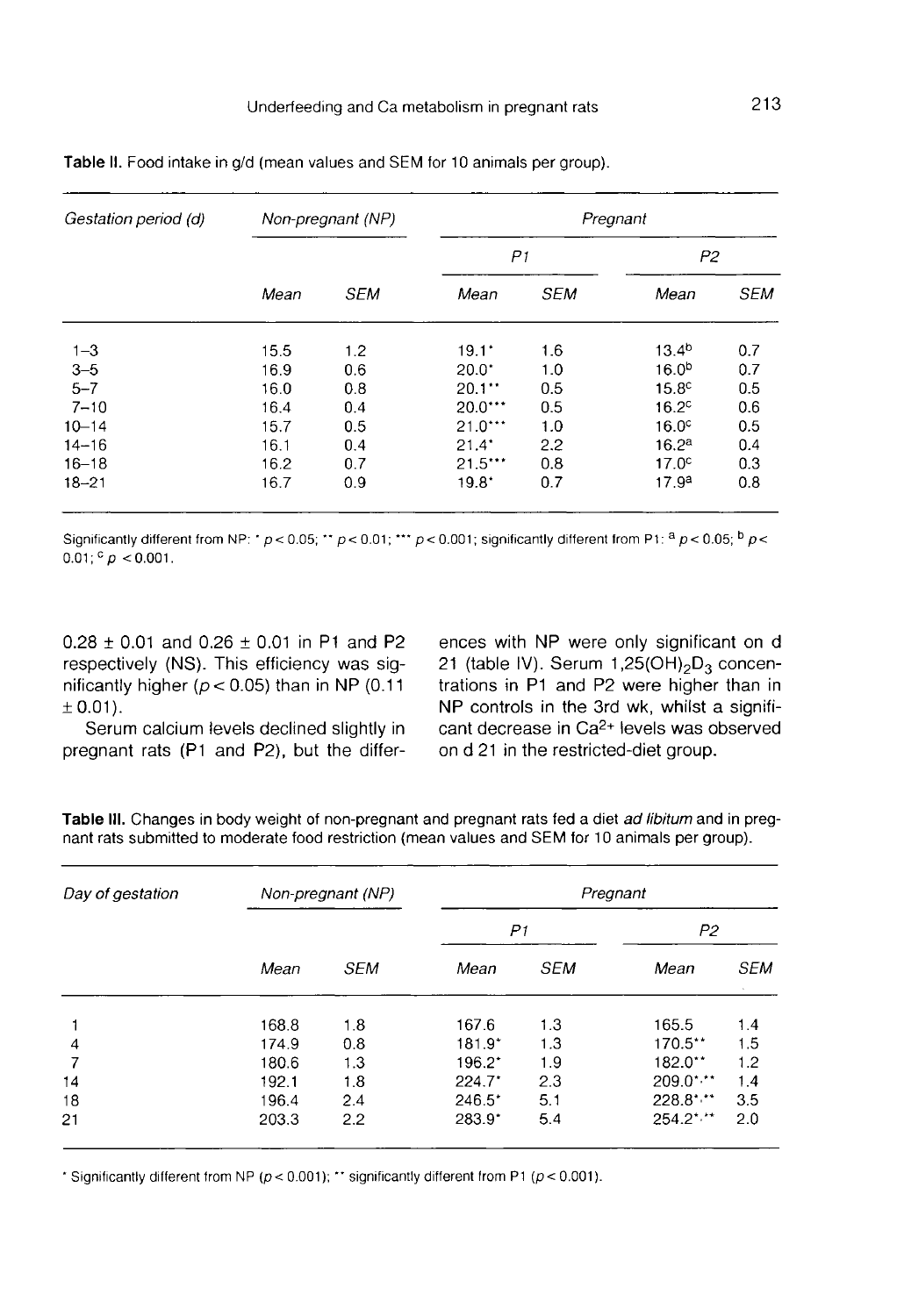| Gestation period (d) |      | Non-pregnant (NP) | Pregnant             |            |                   |            |  |  |
|----------------------|------|-------------------|----------------------|------------|-------------------|------------|--|--|
|                      |      |                   | P1                   |            | P2                |            |  |  |
|                      | Mean | <b>SEM</b>        | Mean                 | <b>SEM</b> | Mean              | <b>SEM</b> |  |  |
| $1 - 3$              | 15.5 | 1.2               | $19.1^*$             | 1.6        | 13.4 <sup>b</sup> | 0.7        |  |  |
| $3 - 5$              | 16.9 | 0.6               | $20.0^*$             | 1.0        | 16.0 <sup>b</sup> | 0.7        |  |  |
| $5 - 7$              | 16.0 | 0.8               | $20.1$ <sup>**</sup> | 0.5        | 15.8 <sup>c</sup> | 0.5        |  |  |
| $7 - 10$             | 16.4 | 0.4               | $20.0***$            | 0.5        | 16.2 <sup>c</sup> | 0.6        |  |  |
| $10 - 14$            | 15.7 | 0.5               | $21.0***$            | 1.0        | 16.0 <sup>c</sup> | 0.5        |  |  |
| $14 - 16$            | 16.1 | 0.4               | 21.4"                | 2.2        | 16.2 <sup>a</sup> | 0.4        |  |  |
| $16 - 18$            | 16.2 | 0.7               | $21.5***$            | 0.8        | 17.0 <sup>c</sup> | 0.3        |  |  |
| $18 - 21$            | 16.7 | 0.9               | $19.8^*$             | 0.7        | 17.9 <sup>a</sup> | 0.8        |  |  |

Table II. Food intake in g/d (mean values and SEM for 10 animals per group).

 $0.01$ ;  $^{\circ}$  p < 0.001.

 $0.28 \pm 0.01$  and  $0.26 \pm 0.01$  in P1 and P2 respectively (NS). This efficiency was significantly higher ( $p < 0.05$ ) than in NP (0.11  $± 0.01$ .

Serum calcium levels declined slightly in pregnant rats (P1 and P2), but the differences with NP were only significant on d<br>21 (table IV). Serum 1,25(OH)<sub>2</sub>D<sub>3</sub> concen-21 (table IV). Serum 1,25(OH)  $_2D_3$  concentrations in P1 and P2 were higher than in<br>NP controls in the 3rd wk whilst a significant NP controls in the 3rd wk, whilst a significant decrease in Ca2+ levels was observed on d 21 in the restricted-diet group.

| Table III. Changes in body weight of non-pregnant and pregnant rats fed a diet ad libitum and in preg- |
|--------------------------------------------------------------------------------------------------------|
| nant rats submitted to moderate food restriction (mean values and SEM for 10 animals per group).       |
|                                                                                                        |

| Day of gestation |       | Non-pregnant (NP) | Pregnant |            |                      |            |  |  |
|------------------|-------|-------------------|----------|------------|----------------------|------------|--|--|
|                  |       |                   | P1       |            | P2                   |            |  |  |
|                  | Mean  | <b>SEM</b>        | Mean     | <b>SEM</b> | Mean                 | <b>SEM</b> |  |  |
|                  | 168.8 | 1.8               | 167.6    | 1.3        | 165.5                | 14         |  |  |
| 4                | 174.9 | 0.8               | $181.9*$ | 1.3        | 170.5**              | 1.5        |  |  |
| 7                | 180.6 | 1.3               | 196.2*   | 1.9        | 182.0**              | 1.2        |  |  |
| 14               | 192.1 | 1.8               | 224.7"   | 2.3        | $209.0$ * $\cdot$ ** | 1.4        |  |  |
| 18               | 196.4 | 2.4               | $246.5*$ | 5.1        | $228.8$ * * *        | 3.5        |  |  |
| 21               | 203.3 | 2.2               | 283.9"   | 5.4        | $254.2$ ***          | 2.0        |  |  |

\* Significantly different from NP ( $p < 0.001$ ); \*\* significantly different from P1 ( $p < 0.001$ ).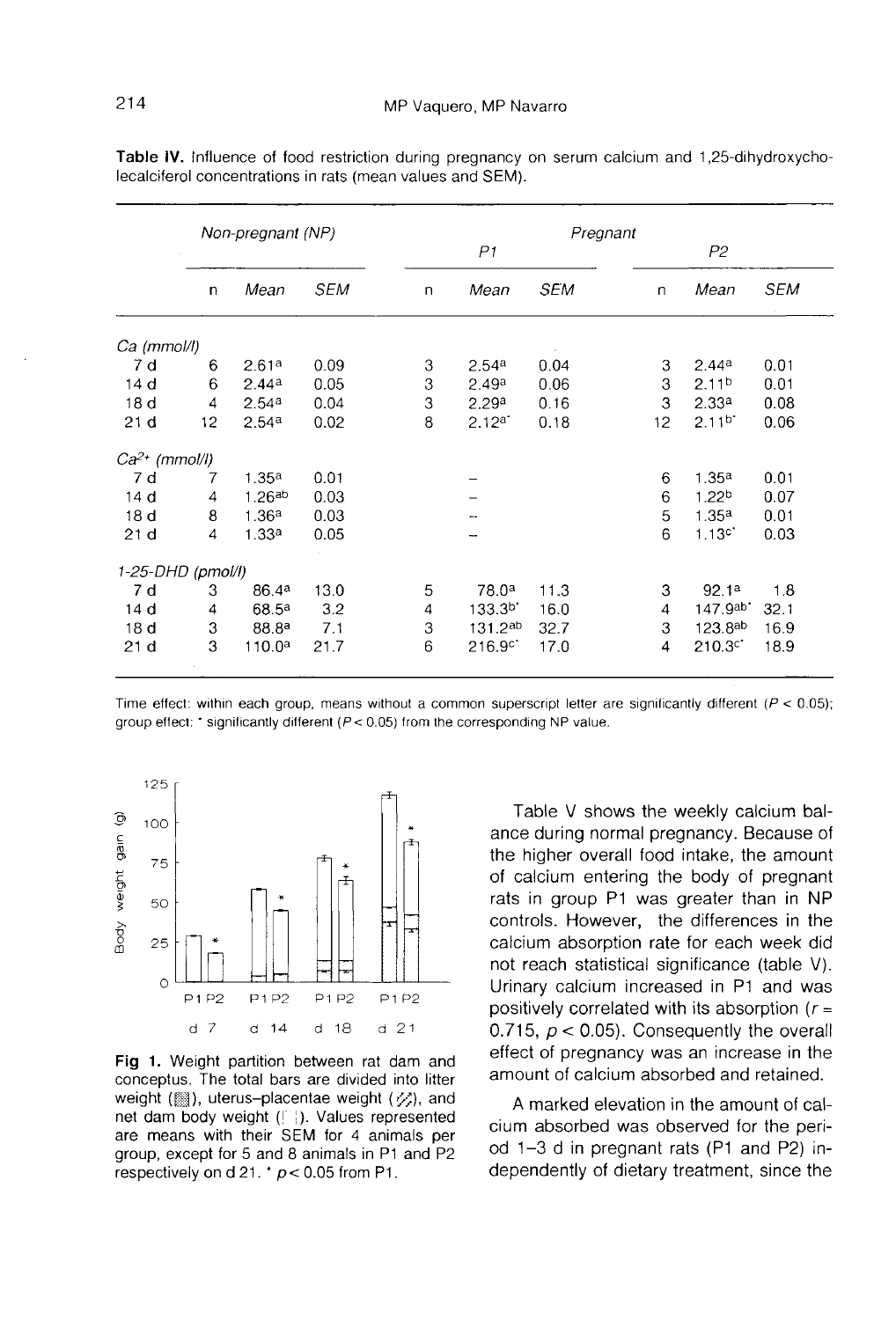|                    |                | Non-pregnant (NP)  |            |              |                    | Pregnant   |    |                     |            |
|--------------------|----------------|--------------------|------------|--------------|--------------------|------------|----|---------------------|------------|
|                    |                |                    |            |              | P <sub>1</sub>     |            |    | P <sub>2</sub>      |            |
|                    | n              | Mean               | <b>SEM</b> | $\mathsf{n}$ | Mean               | <b>SEM</b> | n  | Mean                | <b>SEM</b> |
| Ca (mmol/l)        |                |                    |            |              |                    |            |    |                     |            |
| 7d                 | 6              | 2.61 <sup>a</sup>  | 0.09       | 3            | 2.54a              | 0.04       | 3  | 2.44a               | 0.01       |
| 14 <sub>d</sub>    | 6              | 2.44a              | 0.05       | 3            | 2.49a              | 0.06       | 3  | 2.11 <sup>b</sup>   | 0.01       |
| 18 <sub>d</sub>    | $\overline{4}$ | 2.54 <sup>a</sup>  | 0.04       | 3            | 2.29a              | 0.16       | 3  | 2.33 <sup>a</sup>   | 0.08       |
| 21 <sub>d</sub>    | 12             | 2.54 <sup>a</sup>  | 0.02       | 8            | 2.12a              | 0.18       | 12 | 2.11 <sup>b</sup>   | 0.06       |
| $Ca^{2+}$ (mmol/l) |                |                    |            |              |                    |            |    |                     |            |
| 7 d                | 7              | 1.35a              | 0.01       |              |                    |            | 6  | 1.35 <sup>a</sup>   | 0.01       |
| 14 <sub>d</sub>    | $\overline{4}$ | 1.26ab             | 0.03       |              |                    |            | 6  | 1.22 <sup>b</sup>   | 0.07       |
| 18 <sub>d</sub>    | 8              | 1.36a              | 0.03       |              |                    |            | 5  | 1.35 <sup>a</sup>   | 0.01       |
| 21d                | 4              | 1.33a              | 0.05       |              |                    |            | 6  | 1.13c               | 0.03       |
| 1-25-DHD (pmol/l)  |                |                    |            |              |                    |            |    |                     |            |
| 7 d                | 3              | 86.4ª              | 13.0       | 5            | 78.0 <sup>a</sup>  | 11.3       | 3  | 92.1a               | 1.8        |
| 14 <sub>d</sub>    | 4              | 68.5ª              | 3.2        | 4            | 133.3 <sup>b</sup> | 16.0       | 4  | 147.9a <sup>b</sup> | 32.1       |
| 18 <sub>d</sub>    | 3              | 88.8ª              | 7.1        | 3            | 131.2ab            | 32.7       | 3  | $123.8^{ab}$        | 16.9       |
| 21 d               | 3              | 110.0 <sup>a</sup> | 21.7       | 6            | 216.9 <sup>c</sup> | 17.0       | 4  | 210.3 <sup>c</sup>  | 18.9       |

Table IV. Influence of food restriction during pregnancy on serum calcium and 1,25-dihydroxycholecalciferol concentrations in rats (mean values and SEM).

Time effect: within each group, means without a common superscript letter are significantly different ( $P < 0.05$ ); group effect: \* significantly different ( $P < 0.05$ ) from the corresponding NP value.



Fig. 1. Weight partition between rat dam and conceptus. The total bars are divided into litter weight (.), uterus-placentae weight (%), and net dam body weight ([1]). Values represented are means with their SEM for 4 animals per group, except for 5 and 8 animals in P1 and P2 respectively on d 21.  $p < 0.05$  from P1.

Table V shows the weekly calcium balance during normal pregnancy. Because of the higher overall food intake, the amount of calcium entering the body of pregnant rats in group P1 was greater than in NP controls. However, the differences in the calcium absorption rate for each week did not reach statistical significance (table V). Urinary calcium increased in P1 and was positively correlated with its absorption  $(r =$ 0.715,  $p < 0.05$ ). Consequently the overall effect of pregnancy was an increase in the amount of calcium absorbed and retained.

A marked elevation in the amount of calcium absorbed was observed for the period 1-3 d in pregnant rats (P1 and P2) independently of dietary treatment, since the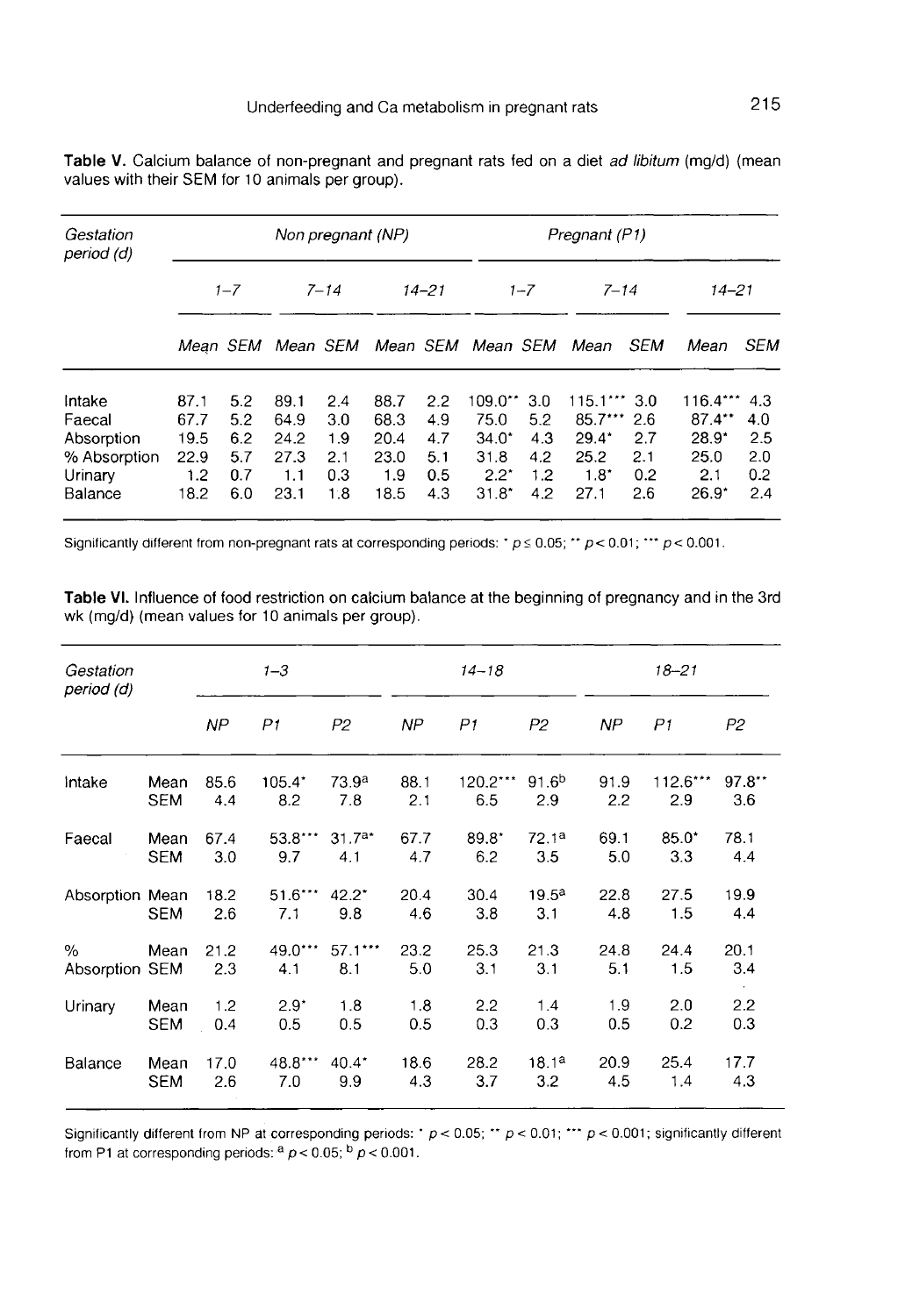| Table V. Calcium balance of non-pregnant and pregnant rats fed on a diet ad libitum (mg/d) (mean |  |  |  |  |
|--------------------------------------------------------------------------------------------------|--|--|--|--|
| values with their SEM for 10 animals per group).                                                 |  |  |  |  |

| Gestation<br>period (d) |              |            |              | Non pregnant (NP) |              |            | Pregnant (P1)                       |            |                      |            |                     |            |
|-------------------------|--------------|------------|--------------|-------------------|--------------|------------|-------------------------------------|------------|----------------------|------------|---------------------|------------|
|                         |              | $1 - 7$    |              | $7 - 14$          |              | $14 - 21$  |                                     | $1 - 7$    | $7 - 14$             |            | $14 - 21$           |            |
|                         |              |            |              |                   |              |            | Mean SEM Mean SEM Mean SEM Mean SEM |            | Mean                 | SEM        | Mean                | SEM        |
| Intake                  | 87.1         | 5.2        | 89.1         | 2.4               | 88.7         | 2.2        | $109.0**$                           | 3.0        | $115.1***$ 3.0       |            | $116.4***$          | 4.3        |
| Faecal<br>Absorption    | 67.7<br>19.5 | 5.2<br>6.2 | 64.9<br>24.2 | 3.0<br>1.9        | 68.3<br>20.4 | 4.9<br>4.7 | 75.0<br>$34.0*$                     | 5.2<br>4.3 | $85.7***$<br>$29.4*$ | 2.6<br>2.7 | $87.4**$<br>$28.9*$ | 4.0<br>2.5 |
| % Absorption            | 22.9         | 5.7        | 27.3         | 2.1               | 23.0         | 5.1        | 31.8                                | 4.2        | 25.2                 | 2.1        | 25.0                | 2.0        |
| Urinary<br>Balance      | 1.2<br>18.2  | 0.7<br>6.0 | 1.1<br>23.1  | 0.3<br>1.8        | 1.9<br>18.5  | 0.5<br>4.3 | $2.2^*$<br>$31.8^*$                 | 1.2<br>4.2 | $1.8^*$<br>27.1      | 0.2<br>2.6 | 2.1<br>$26.9^*$     | 0.2<br>2.4 |

Significantly different from non-pregnant rats at corresponding periods: \*  $p \le 0.05$ ; \*\*  $p < 0.01$ ; \*\*\*  $p < 0.001$ .

Table VI. Influence of food restriction on calcium balance at the beginning of pregnancy and in the 3rd wk (mg/d) (mean values for 10 animals per group).

| Gestation<br>period (d) |            |             | $1 - 3$          |                   |             | $14 - 18$      |                       |             | $18 - 21$      |                       |
|-------------------------|------------|-------------|------------------|-------------------|-------------|----------------|-----------------------|-------------|----------------|-----------------------|
|                         |            | NP.         | P <sub>1</sub>   | P2                | NP          | P <sub>1</sub> | P <sub>2</sub>        | NP          | P <sub>1</sub> | P2                    |
| intake                  | Mean       | 85.6        | $105.4^*$        | 73.9 <sup>a</sup> | 88.1        | 120.2***       | 91.6 <sup>b</sup>     | 91.9        | 112.6***       | $97.8**$              |
|                         | <b>SEM</b> | 4.4         | 8.2              | 7.8               | 2.1         | 6.5            | 2.9                   | 2.2         | 2.9            | 3.6                   |
| Faecal                  | Mean       | 67.4        | $53.8***$        | $31.7a*$          | 67.7        | $89.8*$        | 72.1 <sup>a</sup>     | 69.1        | $85.0*$        | 78.1                  |
|                         | <b>SEM</b> | 3.0         | 9.7              | 4.1               | 4.7         | 6.2            | 3.5                   | 5.0         | 3.3            | 4.4                   |
| Absorption Mean         | <b>SEM</b> | 18.2<br>2.6 | $51.6***$<br>7.1 | $42.2^*$<br>9.8   | 20.4<br>4.6 | 30.4<br>3.8    | $19.5^{\circ}$<br>3.1 | 22.8<br>4.8 | 27.5<br>1.5    | 19.9<br>4.4           |
| %<br>Absorption SEM     | Mean       | 21.2<br>2.3 | $49.0***$<br>4.1 | $57.1***$<br>8.1  | 23.2<br>5.0 | 25.3<br>3.1    | 21.3<br>3.1           | 24.8<br>5.1 | 24.4<br>1.5    | 20.1<br>3.4<br>$\sim$ |
| Urinary                 | Mean       | 1.2         | $2.9*$           | 1.8               | 1.8         | 2.2            | 1.4                   | 1.9         | 2.0            | 2.2                   |
|                         | <b>SEM</b> | 0.4         | 0.5              | 0.5               | 0.5         | 0.3            | 0.3                   | 0.5         | 0.2            | 0.3                   |
| Balance                 | Mean       | 17.0        | 48.8***          | $40.4*$           | 18.6        | 28.2           | 18.1a                 | 20.9        | 25.4           | 17.7                  |
|                         | <b>SEM</b> | 2.6         | 7.0              | 9.9               | 4.3         | 3.7            | 3.2                   | 4.5         | 1.4            | 4.3                   |

Significantly different from NP at corresponding periods:  $\cdot p < 0.05$ ;  $\cdot \cdot p < 0.01$ ;  $\cdot \cdot \cdot p < 0.001$ ; significantly different from P1 at corresponding periods:  $a \cdot p < 0.05$ ;  $b \cdot p < 0.001$ .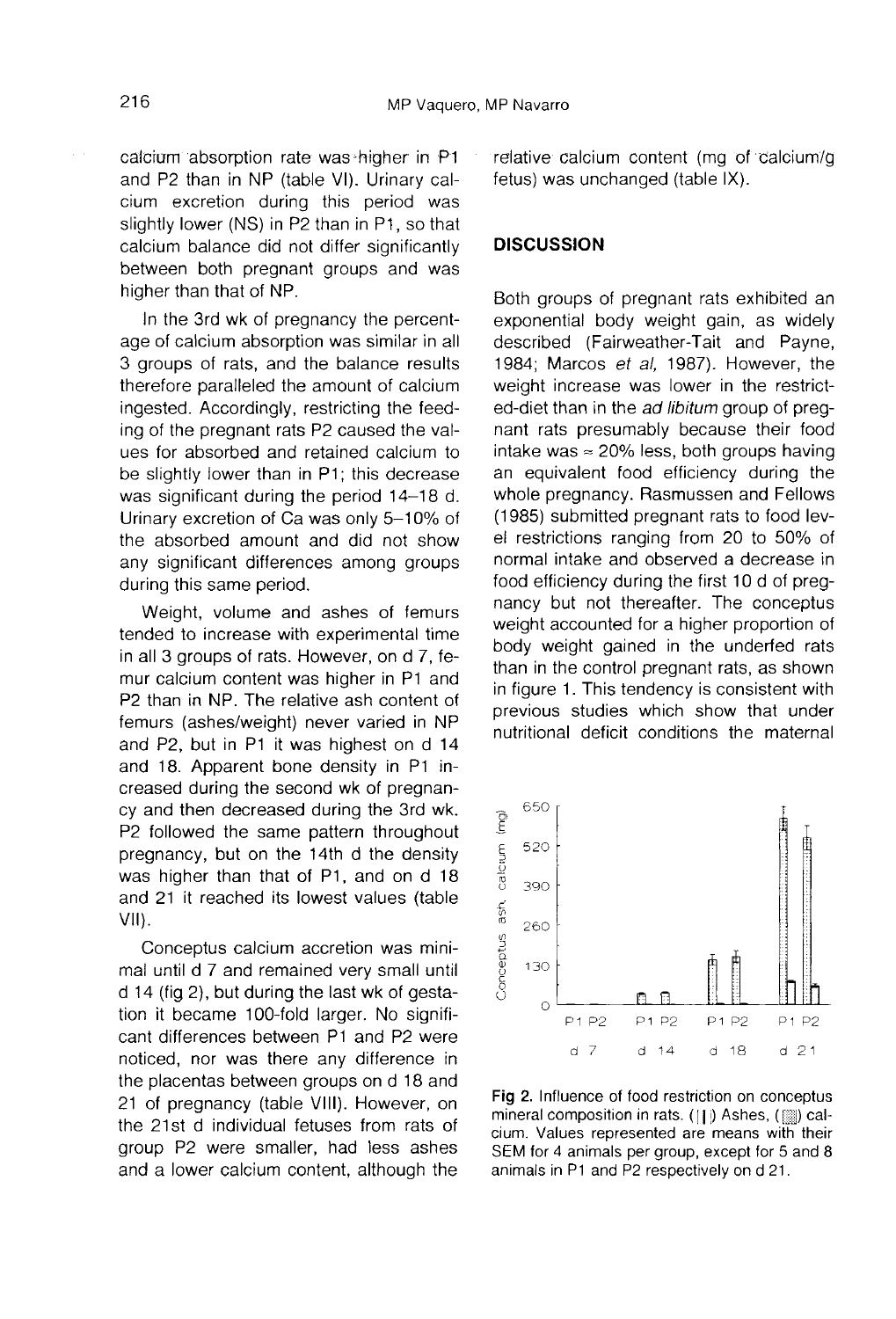calcium absorption rate was-higher in P1 and P2 than in NP (table VI). Urinary calcium excretion during this period was slightly lower (NS) in P2 than in P1, so that calcium balance did not differ significantly between both pregnant groups and was higher than that of NP.

In the 3rd wk of pregnancy the percentage of calcium absorption was similar in all 3 groups of rats, and the balance results therefore paralleled the amount of calcium ingested. Accordingly, restricting the feeding of the pregnant rats P2 caused the values for absorbed and retained calcium to be slightly lower than in P1; this decrease was significant during the period 14-18 d. Urinary excretion of Ca was only 5-10% of the absorbed amount and did not show any significant differences among groups during this same period.

Weight, volume and ashes of femurs tended to increase with experimental time in all 3 groups of rats. However, on d 7, femur calcium content was higher in P1 and P2 than in NP. The relative ash content of femurs (ashes/weight) never varied in NP and P2, but in P1 it was highest on d 14 and 18. Apparent bone density in P1 increased during the second wk of pregnancy and then decreased during the 3rd wk. P2 followed the same pattern throughout pregnancy, but on the 14th d the density was higher than that of P1, and on d 18 and 21 it reached its lowest values (table Vil).

Conceptus calcium accretion was minimal until d 7 and remained very small until d 14 (fig 2), but during the last wk of gestation it became 100-fold larger. No significant differences between P1 and P2 were noticed, nor was there any difference in the placentas between groups on d 18 and 21 of pregnancy (table VIII). However, on the 21st d individual fetuses from rats of group P2 were smaller, had less ashes and a lower calcium content, although the relative calcium content (mg of calcium/g fetus) was unchanged (table IX).

#### **DISCUSSION**

Both groups of pregnant rats exhibited an exponential body weight gain, as widely described (Fairweather-Tait and Payne, 1984; Marcos et al, 1987). However, the weight increase was lower in the restricted-diet than in the ad libitum group of pregnant rats presumably because their food intake was  $\approx$  20% less, both groups having an equivalent food efficiency during the whole pregnancy. Rasmussen and Fellows (1985) submitted pregnant rats to food level restrictions ranging from 20 to 50% of normal intake and observed a decrease in food efficiency during the first 10 d of pregnancy but not thereafter. The conceptus weight accounted for a higher proportion of body weight gained in the underfed rats than in the control pregnant rats, as shown in figure 1. This tendency is consistent with previous studies which show that under nutritional deficit conditions the maternal



Fig 2. Influence of food restriction on conceptus mineral composition in rats. ([1]) Ashes, (.......) calcium. Values represented are means with their SEM for 4 animals per group, except for 5 and 8 animals in P1 and P2 respectively on d 21.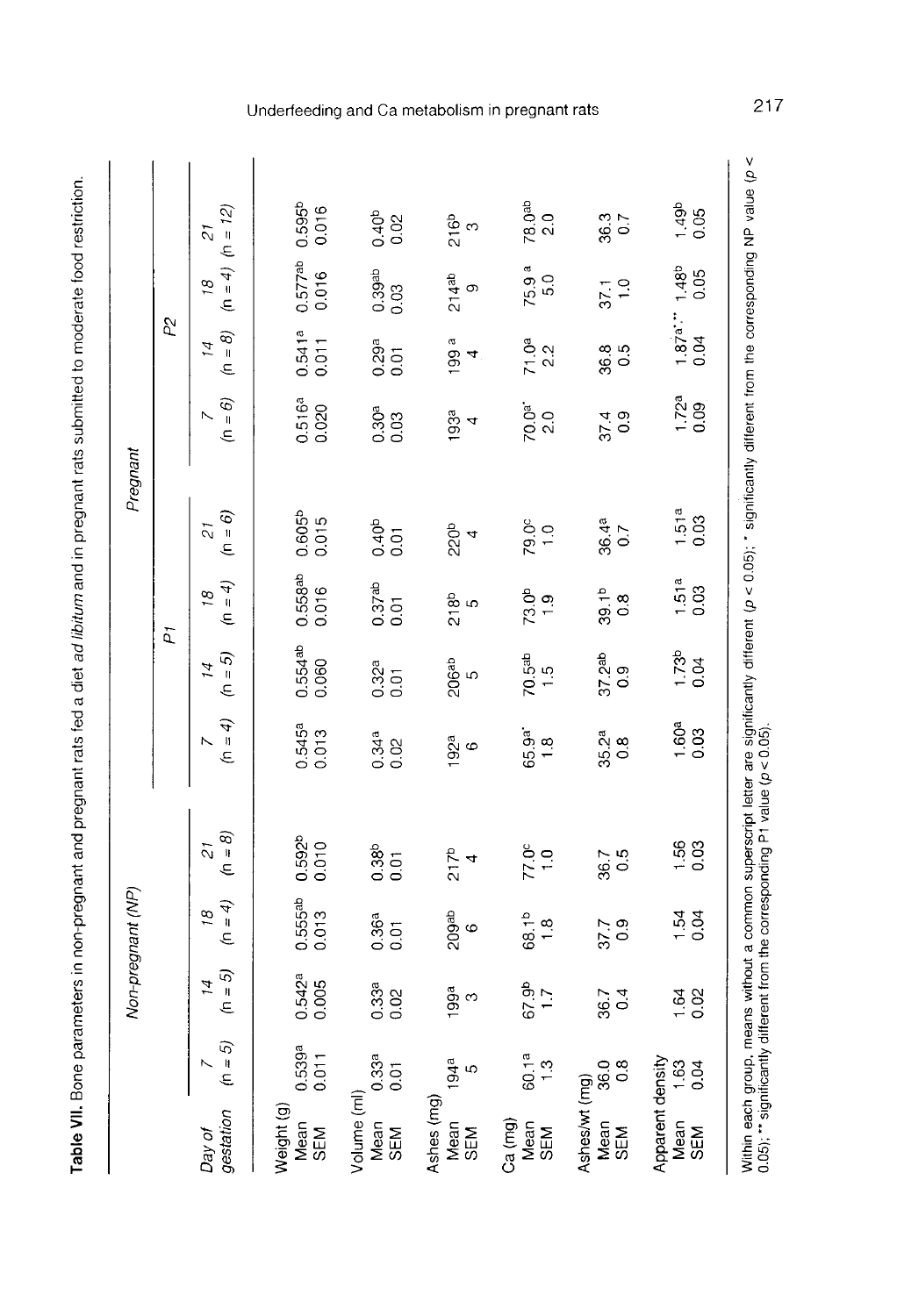Table VII. Bone parameters in non-pregnant and pregnant rats fed a diet ad libitum and in pregnant rats submitted to moderate food restriction.

|                                 |                       |                    | Non-pregnant (NP)                         |                                                                                                                                                                                                                                 |                        |                                  |                                    | Pregnant                            |                 |                                 |                                |                           |
|---------------------------------|-----------------------|--------------------|-------------------------------------------|---------------------------------------------------------------------------------------------------------------------------------------------------------------------------------------------------------------------------------|------------------------|----------------------------------|------------------------------------|-------------------------------------|-----------------|---------------------------------|--------------------------------|---------------------------|
|                                 |                       |                    |                                           |                                                                                                                                                                                                                                 |                        |                                  | h                                  |                                     |                 | P2                              |                                |                           |
| gestation<br>Day of             | $(n = 5)$             | $=5$<br>14<br>É    | $\phi = 4$<br>$\tilde{a}$                 | $= 8$<br>$\tilde{c}$<br>É                                                                                                                                                                                                       | $=4$<br>E              | $(n = 5)$<br>I4                  | $= 4$<br>$\tilde{g}$<br>Ē.         | $= 6$<br>$\overline{c}$<br>É        | $(n = 6)$       | $(n = 8)$<br>14                 | $(n = 4)$<br>$\frac{8}{2}$     | $(h = 12)$<br>51          |
| Weight (g)<br>Mean<br>SEM       | 0.539ª<br>0.011       | 0.542ª<br>0.005    | $0.555a$<br>$0.013$                       | $0.592b$<br>$0.010$                                                                                                                                                                                                             | 0.545ª<br>0.013        | $0.554$ <sup>ab</sup><br>$0.060$ | $0.558ab$<br>$0.016$               | $0.605b$<br>$0.015$                 | 0.516ª<br>0.020 | $0.541a$<br>$0.011$             | $0.577ab$<br>$0.016$           | 0.595b<br>0.016           |
| Volume (ml)<br>Mean<br>SEM      | 0.33a<br>0.01         | 0.33 <sup>a</sup>  | 0.36a<br>0.01                             | 0.38 <sup>b</sup>                                                                                                                                                                                                               | $0.34a$<br>0.02        | 0.32 <sup>a</sup>                | 0.37ab<br>$\overline{0}$ .01       | 0.40 <sup>b</sup><br>$\overline{0}$ | 0.30ª<br>0.03   | $0.29a$<br>0.01                 | $0.39$ <sup>ab</sup><br>$0.03$ | 0.40 <sup>b</sup><br>0.02 |
| Ashes (mg)<br>Mean<br>SEM       | 194 <sup>a</sup><br>5 | ეთი<br>ე<br>ე      | 209 <sup>ab</sup><br>6                    | 217 <sup>b</sup><br>$\overline{a}$                                                                                                                                                                                              | მ<br>6<br>ნ            | 206 <sup>ab</sup><br>5           | 218 <sub>b</sub>                   | 220 <sup>b</sup><br>4               | 193ª<br>4       | $\sigma$<br>$\overline{9}$<br>4 | $214^{ab}$<br>9                | 216 <sup>b</sup>          |
| Ca (mg)<br>Mean<br>SEM          | 60.1a<br>1.3          | 1.7<br>4.19        | 68.1 <sup>b</sup><br>$\ddot{8}$           | $\frac{8}{10}$                                                                                                                                                                                                                  | 65.9ª<br>$\frac{8}{1}$ | 70.5 <sup>ab</sup><br>1.5        | 73.0 <sup>b</sup><br>$\ddot{ }$ .  | $79.0^{\circ}$                      | 70.0ª<br>2.0    | $71.0a$<br>2.2                  | 75.9 <sup>a</sup><br>5.0       | 78.0 <sup>ab</sup><br>2.0 |
| Ashes/wt (mg)<br>Mean<br>SEM    | $360$<br>$0.8$        | $36.7$<br>0.4      | $\begin{array}{c} 7.7 \\ 0.9 \end{array}$ | 0.5<br>36.7                                                                                                                                                                                                                     | 35.2ª<br>0.8           | 37.2 <sup>ab</sup><br>0.9        | 39.1 <sup>b</sup><br>$\frac{8}{2}$ | 36.4a<br>0.7                        | 0.9<br>374      | 88<br>80                        | 37.1                           | 367                       |
| Apparent density<br>Mean<br>SEM | 1.63<br>0.04          | $\frac{164}{0.02}$ | 1.54<br>0.04                              | 1.56<br>0.03                                                                                                                                                                                                                    | $\frac{1.608}{0.03}$   | 1.73 <sup>b</sup><br>0.04        | $\frac{1.51a}{0.03}$               | $\frac{1.51a}{0.03}$                | $1.72a$<br>0.09 | $\frac{1.87a}{0.04}$            | 1.48 <sup>b</sup><br>0.05      | $1.49b$<br>0.05           |
|                                 |                       |                    |                                           | Within each group, means without a common superscript letter are significantly different (ρ < 0.05); * significantly different from the corresponding NP value (ρ <<br>0.05); ** significantly different from the corresponding |                        |                                  |                                    |                                     |                 |                                 |                                |                           |

# Underfeeding and Ca metabolism in pregnant rats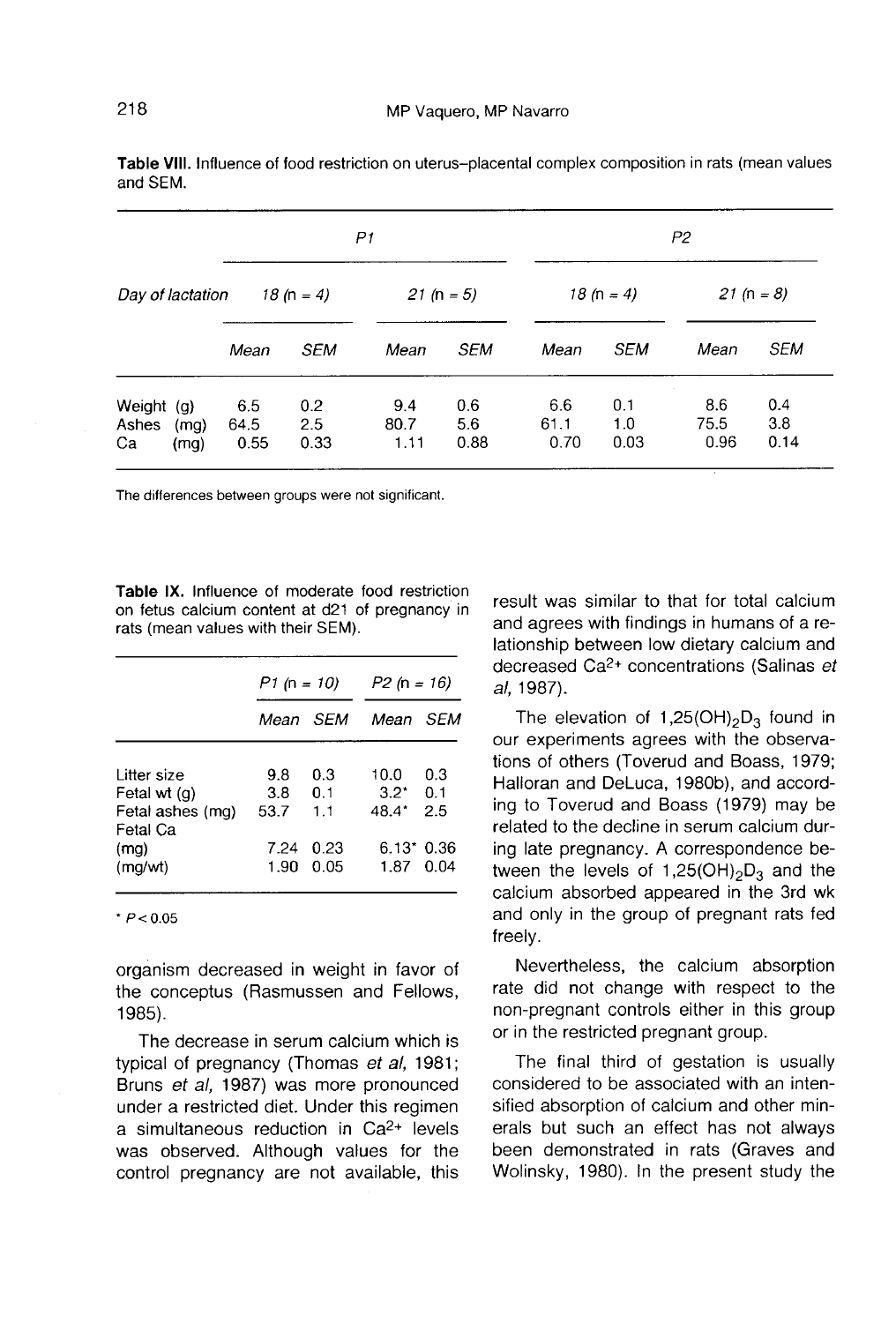|                             |              |                     |                    | P1                  |                    |                     |                    | P2                  |                    |
|-----------------------------|--------------|---------------------|--------------------|---------------------|--------------------|---------------------|--------------------|---------------------|--------------------|
| Day of lactation            |              |                     | 18 (n = 4)         |                     | 21 (n = 5)         |                     | 18 (n = 4)         |                     | 21 (n = 8)         |
|                             |              | Mean                | <b>SEM</b>         | Mean                | <b>SEM</b>         | Mean                | <b>SEM</b>         | Mean                | <b>SEM</b>         |
| Weight $(g)$<br>Ashes<br>Ca | (mq)<br>(mg) | 6.5<br>64.5<br>0.55 | 0.2<br>2.5<br>0.33 | 9.4<br>80.7<br>1.11 | 0.6<br>5.6<br>0.88 | 6.6<br>61.1<br>0.70 | 0.1<br>1.0<br>0.03 | 8.6<br>75.5<br>0.96 | 0.4<br>3.8<br>0.14 |

Table VIII. Influence of food restriction on uterus-placental complex composition in rats (mean values and SFM.

The differences between groups were not significant.

Table IX. Influence of moderate food restriction on fetus calcium content at d21 of pregnancy in rats (mean values with their SEM).

|                                  |             | <i>P1 (n = 10)</i> | $P2(n = 16)$             |     |  |
|----------------------------------|-------------|--------------------|--------------------------|-----|--|
|                                  |             | Mean SEM           | Mean SFM                 |     |  |
| Litter size                      | 9.8         | 0.3                | 10.0                     | 0.3 |  |
| Fetal wt (q)<br>Fetal ashes (mg) | 3.8<br>53.7 | 0.1<br>1.1         | $3.2^*$ 0.1<br>48.4* 2.5 |     |  |
| Fetal Ca<br>(mq)                 | 7.24        | 0.23               | $6.13*0.36$              |     |  |
| (mq/wt)                          |             | 1.90 0.05          | 1.87 0.04                |     |  |

 $* P < 0.05$ 

organism decreased in weight in favor of the conceptus (Rasmussen and Fellows, 1985).

The decrease in serum calcium which is typical of pregnancy (Thomas et al, 1981; Bruns et al, 1987) was more pronounced<br>under a restricted diet. Under this regimen a simultaneous reduction in  $Ca<sup>2+</sup>$  levels was observed. Although values for the control pregnancy are not available, this result was similar to that for total calcium and agrees with findings in humans of a relationship between low dietary calcium and decreased Ca2+ concentrations (Salinas et al, 1987). All was similar to that for total calcium<br>d agrees with findings in humans of a re-<br>onship between low dietary calcium and<br>creased Ca<sup>2+</sup> concentrations (Salinas *ei*<br>1987).<br>The elevation of 1,25(OH)<sub>2</sub>D<sub>3</sub> found in<br>creas

our experiments agrees with the observations of others (Toverud and Boass, 1979; Halloran and DeLuca, 1980b), and according to Toverud and Boass (1979) may be related to the decline in serum calcium during late pregnancy. A correspondence between the levels of 1,25(OH)<sub>2</sub> $D_3$  and the calcium absorbed appeared in the 3rd wk and only in the group of pregnant rats fed freely.

Nevertheless, the calcium absorption rate did not change with respect to the non-pregnant controls either in this group or in the restricted pregnant group.

The final third of gestation is usually considered to be associated with an intensified absorption of calcium and other minerals but such an effect has not always been demonstrated in rats (Graves and Wolinsky, 1980). In the present study the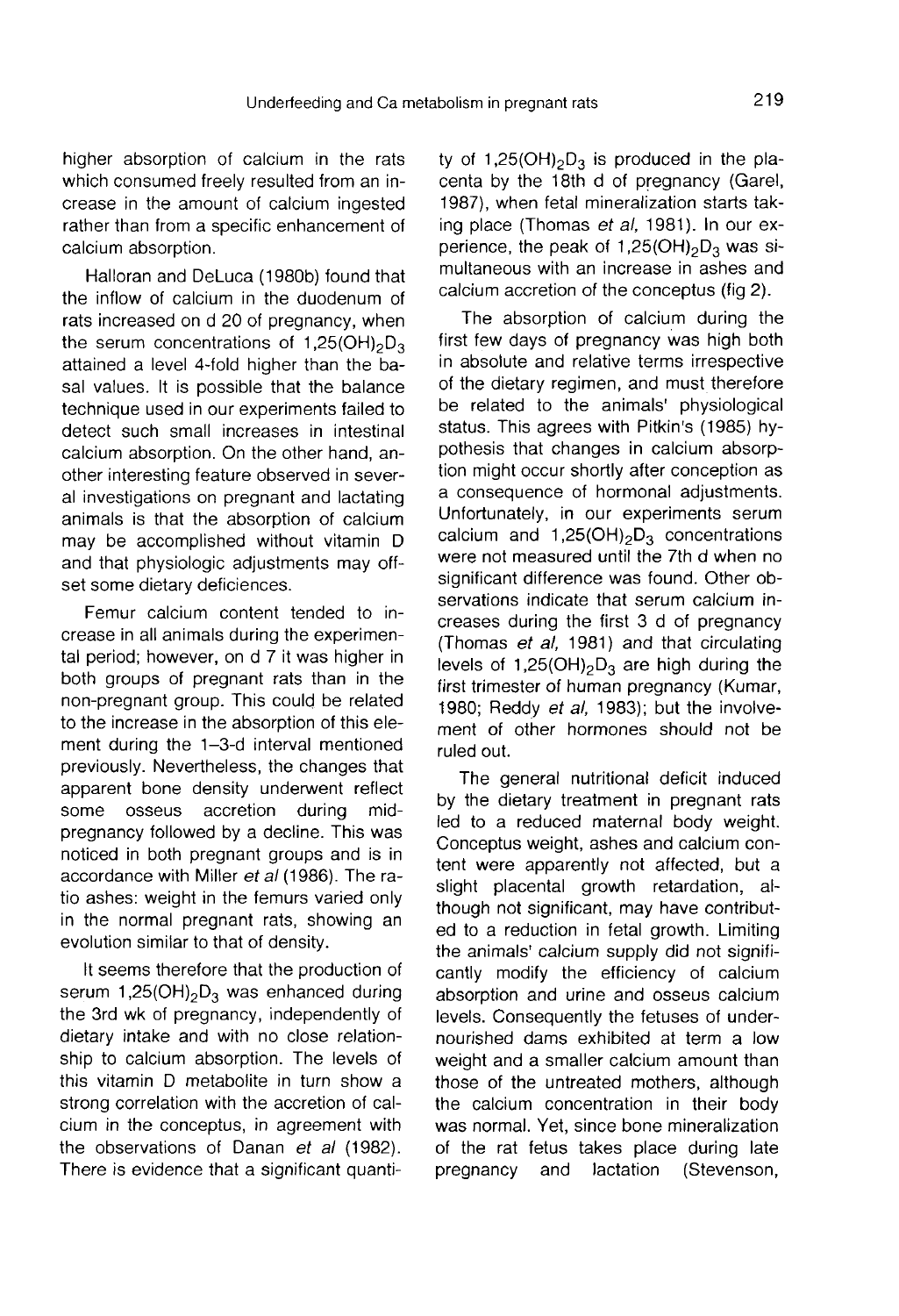higher absorption of calcium in the rats which consumed freely resulted from an increase in the amount of calcium ingested rather than from a specific enhancement of calcium absorption.

Halloran and DeLuca (1980b) found that the inflow of calcium in the duodenum of rats increased on d 20 of pregnancy, when the serum concentrations attained a level 4-fold higher than the baenhancement of<br>1,250b) found that<br>the duodenum of<br>regnancy, when<br>of 1,25(OH)<sub>2</sub>D<sub>3</sub><br>er than the bal sal values. It is possible that the balance technique used in our experiments failed to detect such small increases in intestinal calcium absorption. On the other hand, another interesting feature observed in several investigations on pregnant and lactating animals is that the absorption of calcium may be accomplished without vitamin D and that physiologic adjustments may offset some dietary deficiences.

Femur calcium content tended to increase in all animals during the experimental period; however, on d 7 it was higher in both groups of pregnant rats than in the non-pregnant group. This could be related to the increase in the absorption of this element during the 1-3-d interval mentioned previously. Nevertheless, the changes that apparent bone density underwent reflect<br>some osseus accretion during midaccretion during pregnancy followed by a decline. This was noticed in both pregnant groups and is in accordance with Miller et al (1986). The ratio ashes: weight in the femurs varied only in the normal pregnant rats, showing an evolution similar to that of density. accordance with Miller *et al* (1986). The ra-<br>tio ashes: weight in the femurs varied only<br>in the normal pregnant rats, showing an<br>evolution similar to that of density.<br>It seems therefore that the production of<br>serum 1,25

It seems therefore that the production of the 3rd wk of pregnancy, independently of dietary intake and with no close relationship to calcium absorption. The levels of this vitamin D metabolite in turn show a strong correlation with the accretion of calcium in the conceptus, in agreement with the observations of Danan et al (1982). There is evidence that a significant quanti-

bolism in pregnant rats 219<br>
ty of 1,25(OH)<sub>2</sub>D<sub>3</sub> is produced in the pla-<br>
centa by the 18th d of pregnancy (Garel,<br>
1987), when fotal minoralization starts take 1987), when fetal mineralization starts taking place (Thomas *et al*, 1981). In our experience, the peak of 1,25(OH)<sub>2</sub>D<sub>3</sub> was sity of 1,25(OH)<sub>2</sub>D<sub>3</sub> is produced in the placenta by the 18th d of pregnancy (Garel, 1987), when fetal mineralization starts taking place (Thomas *et al*, 1981). In our experience, the peak of 1,25(OH)<sub>2</sub>D<sub>3</sub> was si-multa multaneous with an increase in ashes and calcium accretion of the conceptus (fig 2).

The absorption of calcium during the first few days of pregnancy was high both in absolute and relative terms irrespective of the dietary regimen, and must therefore be related to the animals' physiological status. This agrees with Pitkin's (1985) hy-<br>pothesis that changes in calcium absorp-<br>pothesis that changes in calcium absorp-<br>tion might occur shortly after conception as<br>a consequence of hormonal adjustments.<br>Unfortunat pothesis that changes in calcium absorption might occur shortly after conception as a consequence of hormonal adjustments. Unfortunately, in our experiments serum calcium and  $1,25(OH)_2D_3$  concentrations were not measured until the 7th d when no significant difference was found. Other observations indicate that serum calcium increases during the first 3 d of pregnancy (Thomas et al, 1981) and that circulating levels of 1,25(OH)<sub>2</sub>D<sub>3</sub> are high during the first trimester of human pregnancy (Kumar, 1980; Reddy et al, 1983); but the involvement of other hormones should not be ruled out.

The general nutritional deficit induced by the dietary treatment in pregnant rats led to a reduced maternal body weight. Conceptus weight, ashes and calcium content were apparently not affected, but a slight placental growth retardation, although not significant, may have contributed to a reduction in fetal growth. Limiting the animals' calcium supply did not significantly modify the efficiency of calcium absorption and urine and osseus calcium levels. Consequently the fetuses of undernourished dams exhibited at term a low weight and a smaller calcium amount than those of the untreated mothers, although the calcium concentration in their body was normal. Yet, since bone mineralization of the rat fetus takes place during late<br>pregnancy and lactation (Stevenson, (Stevenson,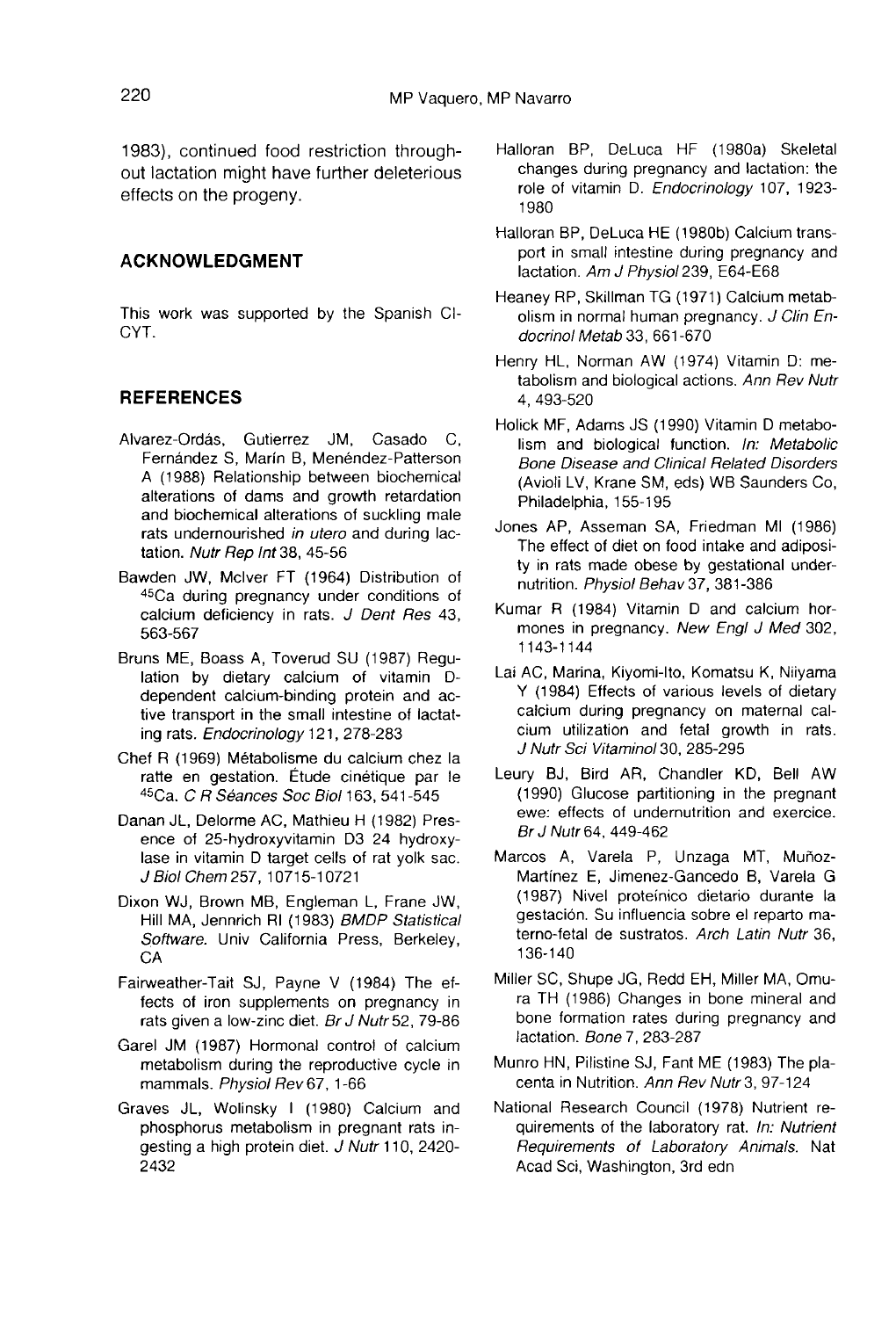1983), continued food restriction throughout lactation might have further deleterious effects on the progeny.

#### ACKNOWLEDGMENT

This work was supported by the Spanish Cl-CYT.

# **REFERENCES**

- Alvarez-Ordás, Gutierrez JM, Casado C, Fernandez S, Marin B, Menéndez-Patterson A (1988) Relationship between biochemical alterations of dams and growth retardation and biochemical alterations of suckling male rats undernourished in utero and during lactation. Nutr Rep Int 38, 45-56
- Bawden JW, Mciver FT (1964) Distribution of 45Ca during pregnancy under conditions of calcium deficiency in rats. J Dent Res 43, 563-567
- Bruns ME, Boass A, Toverud SU (1987) Regulation by dietary calcium of vitamin Ddependent calcium-binding protein and active transport in the small intestine of lactating rats. Endocrinology 121, 278-283
- Chef R (1969) Métabolisme du calcium chez la ratte en gestation. Etude cinétique par le 45Ca. C R Seances Soc Biol 163, 541-545
- Danan JL, Delorme AC, Mathieu H (1982) Presence of 25-hydroxyvitamin D3 24 hydroxylase in vitamin D target cells of rat yolk sac. J Biol Chem 257, 10715-10721 1
- Dixon WJ, Brown MB, Engleman L, Frane JW, Hill MA, Jennrich RI (1983) BMDP Statistical Software. Univ California Press, Berkeley, CA
- Fairweather-Tait SJ, Payne V (1984) The effects of iron supplements on pregnancy in rats given a low-zinc diet. Br J Nutr 52, 79-86
- Garel JM (1987) Hormonal control of calcium metabolism during the reproductive cycle in mammals. Physiol Rev 67, 1-66
- Graves JL, Wolinsky I (1980) Calcium and phosphorus metabolism in pregnant rats ingesting a high protein diet. J Nutr 110, 2420- 2432
- Halloran BP, DeLuca HF (1980a) Skeletal changes during pregnancy and lactation: the role of vitamin D. Endocrinology 107, 1923- 1980
- Halloran BP, DeLuca HE (1980b) Calcium transport in small intestine during pregnancy and lactation. Am J Physiol 239, E64-E68
- Heaney RP, Skillman TG (1971) Calcium metabolism in normal human pregnancy. J Clin Endocrinol Metab 33, 661-670
- Henry HL, Norman AW (1974) Vitamin D: metabolism and biological actions. Ann Rev Nutr 4, 493-520
- Holick MF, Adams JS (1990) Vitamin D metabolism and biological function. In: Metabolic Bone Disease and Clinical Related Disorders (Avioli LV, Krane SM, eds) WB Saunders Co, Philadelphia, 155-195
- Jones AP, Asseman SA, Friedman MI (1986) The effect of diet on food intake and adiposity in rats made obese by gestational undernutrition. Physiol Behav 37, 381-386
- Kumar R (1984) Vitamin D and calcium hormones in pregnancy. New Engl J Med 302, 1143-1144
- Lai AC, Marina, Kiyomi-Ito, Komatsu K, Niiyama Y (1984) Effects of various levels of dietary calcium during pregnancy on maternal calcium utilization and fetal growth in rats. J Nutr Sci Vitamino130, 285-295
- Leury BJ, Bird AR, Chandler KD, Bell AW (1990) Glucose partitioning in the pregnant ewe: effects of undernutrition and exercice. Br J Nutr 64, 449-462
- Marcos A, Varela P, Unzaga MT, Muñoz-Martinez E, Jimenez-Gancedo B, Varela G (1987) Nivel proteinico dietario durante la gestaci6n. Su influencia sobre el reparto materno-fetal de sustratos. Arch Latin Nutr 36, 136-140
- Miller SC, Shupe JG, Redd EH, Miller MA, Omura TH (1986) Changes in bone mineral and bone formation rates during pregnancy and lactation. Bone 7, 283-287
- Munro HN, Pilistine SJ, Fant ME (1983) The pla centa in Nutrition. Ann Rev Nutr 3, 97-124
- National Research Council (1978) Nutrient requirements of the laboratory rat. In: Nutrient Requirements of Laboratory Animals. Nat Acad Sci, Washington, 3rd edn